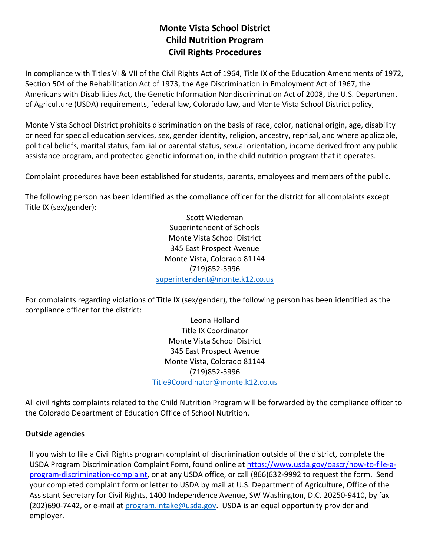# **Monte Vista School District Child Nutrition Program Civil Rights Procedures**

In compliance with Titles VI & VII of the Civil Rights Act of 1964, Title IX of the Education Amendments of 1972, Section 504 of the Rehabilitation Act of 1973, the Age Discrimination in Employment Act of 1967, the Americans with Disabilities Act, the Genetic Information Nondiscrimination Act of 2008, the U.S. Department of Agriculture (USDA) requirements, federal law, Colorado law, and Monte Vista School District policy,

Monte Vista School District prohibits discrimination on the basis of race, color, national origin, age, disability or need for special education services, sex, gender identity, religion, ancestry, reprisal, and where applicable, political beliefs, marital status, familial or parental status, sexual orientation, income derived from any public assistance program, and protected genetic information, in the child nutrition program that it operates.

Complaint procedures have been established for students, parents, employees and members of the public.

The following person has been identified as the compliance officer for the district for all complaints except Title IX (sex/gender):

> Scott Wiedeman Superintendent of Schools Monte Vista School District 345 East Prospect Avenue Monte Vista, Colorado 81144 (719)852-5996 [superintendent@monte.k12.co.us](mailto:superintendent@monte.k12.co.us)

For complaints regarding violations of Title IX (sex/gender), the following person has been identified as the compliance officer for the district:

> Leona Holland Title IX Coordinator Monte Vista School District 345 East Prospect Avenue Monte Vista, Colorado 81144 (719)852-5996 [Title9Coordinator@monte.k12.co.us](mailto:Title9Coordinator@monte.k12.co.us)

All civil rights complaints related to the Child Nutrition Program will be forwarded by the compliance officer to the Colorado Department of Education Office of School Nutrition.

#### **Outside agencies**

If you wish to file a Civil Rights program complaint of discrimination outside of the district, complete the USDA Program Discrimination Complaint Form, found online at [https://www.usda.gov/oascr/how-to-file-a](https://www.usda.gov/oascr/how-to-file-a-program-discrimination-complaint)[program-discrimination-complaint,](https://www.usda.gov/oascr/how-to-file-a-program-discrimination-complaint) or at any USDA office, or call (866)632-9992 to request the form. Send your completed complaint form or letter to USDA by mail at U.S. Department of Agriculture, Office of the Assistant Secretary for Civil Rights, 1400 Independence Avenue, SW Washington, D.C. 20250-9410, by fax (202)690-7442, or e-mail at [program.intake@usda.gov.](mailto:program.intake@usda.gov) USDA is an equal opportunity provider and employer.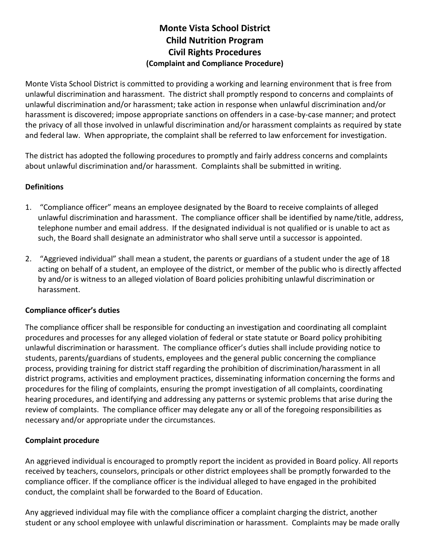# **Monte Vista School District Child Nutrition Program Civil Rights Procedures (Complaint and Compliance Procedure)**

Monte Vista School District is committed to providing a working and learning environment that is free from unlawful discrimination and harassment. The district shall promptly respond to concerns and complaints of unlawful discrimination and/or harassment; take action in response when unlawful discrimination and/or harassment is discovered; impose appropriate sanctions on offenders in a case-by-case manner; and protect the privacy of all those involved in unlawful discrimination and/or harassment complaints as required by state and federal law. When appropriate, the complaint shall be referred to law enforcement for investigation.

The district has adopted the following procedures to promptly and fairly address concerns and complaints about unlawful discrimination and/or harassment. Complaints shall be submitted in writing.

## **Definitions**

- 1. "Compliance officer" means an employee designated by the Board to receive complaints of alleged unlawful discrimination and harassment. The compliance officer shall be identified by name/title, address, telephone number and email address. If the designated individual is not qualified or is unable to act as such, the Board shall designate an administrator who shall serve until a successor is appointed.
- 2. "Aggrieved individual" shall mean a student, the parents or guardians of a student under the age of 18 acting on behalf of a student, an employee of the district, or member of the public who is directly affected by and/or is witness to an alleged violation of Board policies prohibiting unlawful discrimination or harassment.

#### **Compliance officer's duties**

The compliance officer shall be responsible for conducting an investigation and coordinating all complaint procedures and processes for any alleged violation of federal or state statute or Board policy prohibiting unlawful discrimination or harassment. The compliance officer's duties shall include providing notice to students, parents/guardians of students, employees and the general public concerning the compliance process, providing training for district staff regarding the prohibition of discrimination/harassment in all district programs, activities and employment practices, disseminating information concerning the forms and procedures for the filing of complaints, ensuring the prompt investigation of all complaints, coordinating hearing procedures, and identifying and addressing any patterns or systemic problems that arise during the review of complaints. The compliance officer may delegate any or all of the foregoing responsibilities as necessary and/or appropriate under the circumstances.

## **Complaint procedure**

An aggrieved individual is encouraged to promptly report the incident as provided in Board policy. All reports received by teachers, counselors, principals or other district employees shall be promptly forwarded to the compliance officer. If the compliance officer is the individual alleged to have engaged in the prohibited conduct, the complaint shall be forwarded to the Board of Education.

Any aggrieved individual may file with the compliance officer a complaint charging the district, another student or any school employee with unlawful discrimination or harassment. Complaints may be made orally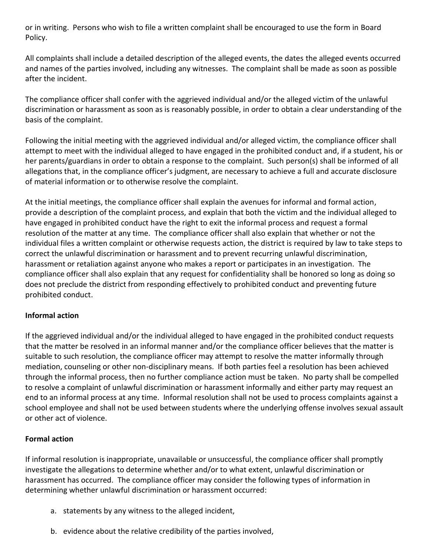or in writing. Persons who wish to file a written complaint shall be encouraged to use the form in Board Policy.

All complaints shall include a detailed description of the alleged events, the dates the alleged events occurred and names of the parties involved, including any witnesses. The complaint shall be made as soon as possible after the incident.

The compliance officer shall confer with the aggrieved individual and/or the alleged victim of the unlawful discrimination or harassment as soon as is reasonably possible, in order to obtain a clear understanding of the basis of the complaint.

Following the initial meeting with the aggrieved individual and/or alleged victim, the compliance officer shall attempt to meet with the individual alleged to have engaged in the prohibited conduct and, if a student, his or her parents/guardians in order to obtain a response to the complaint. Such person(s) shall be informed of all allegations that, in the compliance officer's judgment, are necessary to achieve a full and accurate disclosure of material information or to otherwise resolve the complaint.

At the initial meetings, the compliance officer shall explain the avenues for informal and formal action, provide a description of the complaint process, and explain that both the victim and the individual alleged to have engaged in prohibited conduct have the right to exit the informal process and request a formal resolution of the matter at any time. The compliance officer shall also explain that whether or not the individual files a written complaint or otherwise requests action, the district is required by law to take steps to correct the unlawful discrimination or harassment and to prevent recurring unlawful discrimination, harassment or retaliation against anyone who makes a report or participates in an investigation. The compliance officer shall also explain that any request for confidentiality shall be honored so long as doing so does not preclude the district from responding effectively to prohibited conduct and preventing future prohibited conduct.

## **Informal action**

If the aggrieved individual and/or the individual alleged to have engaged in the prohibited conduct requests that the matter be resolved in an informal manner and/or the compliance officer believes that the matter is suitable to such resolution, the compliance officer may attempt to resolve the matter informally through mediation, counseling or other non-disciplinary means. If both parties feel a resolution has been achieved through the informal process, then no further compliance action must be taken. No party shall be compelled to resolve a complaint of unlawful discrimination or harassment informally and either party may request an end to an informal process at any time. Informal resolution shall not be used to process complaints against a school employee and shall not be used between students where the underlying offense involves sexual assault or other act of violence.

## **Formal action**

If informal resolution is inappropriate, unavailable or unsuccessful, the compliance officer shall promptly investigate the allegations to determine whether and/or to what extent, unlawful discrimination or harassment has occurred. The compliance officer may consider the following types of information in determining whether unlawful discrimination or harassment occurred:

- a. statements by any witness to the alleged incident,
- b. evidence about the relative credibility of the parties involved,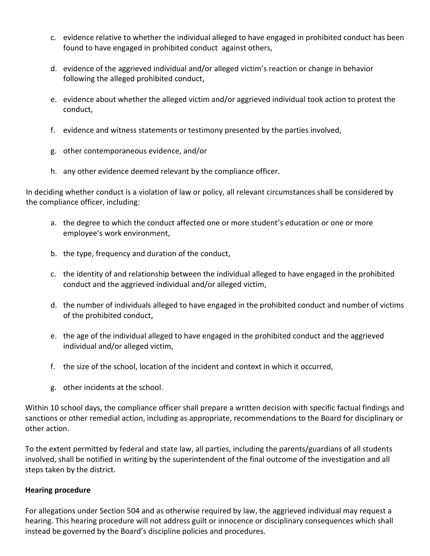- c. evidence relative to whether the individual alleged to have engaged in prohibited conduct has been found to have engaged in prohibited conduct against others,
- d. evidence of the aggrieved individual and/or alleged victim's reaction or change in behavior following the alleged prohibited conduct,
- e. evidence about whether the alleged victim and/or aggrieved individual took action to protest the conduct,
- f. evidence and witness statements or testimony presented by the parties involved,
- g. other contemporaneous evidence, and/or
- h. any other evidence deemed relevant by the compliance officer.

In deciding whether conduct is a violation of law or policy, all relevant circumstances shall be considered by the compliance officer, including:

- a. the degree to which the conduct affected one or more student's education or one or more employee's work environment,
- b. the type, frequency and duration of the conduct,
- c. the identity of and relationship between the individual alleged to have engaged in the prohibited conduct and the aggrieved individual and/or alleged victim,
- d. the number of individuals alleged to have engaged in the prohibited conduct and number of victims of the prohibited conduct,
- e. the age of the individual alleged to have engaged in the prohibited conduct and the aggrieved individual and/or alleged victim,
- f. the size of the school, location of the incident and context in which it occurred,
- g. other incidents at the school.

Within 10 school days, the compliance officer shall prepare a written decision with specific factual findings and sanctions or other remedial action, including as appropriate, recommendations to the Board for disciplinary or other action.

To the extent permitted by federal and state law, all parties, including the parents/guardians of all students involved, shall be notified in writing by the superintendent of the final outcome of the investigation and all steps taken by the district.

## **Hearing procedure**

For allegations under Section 504 and as otherwise required by law, the aggrieved individual may request a hearing. This hearing procedure will not address guilt or innocence or disciplinary consequences which shall instead be governed by the Board's discipline policies and procedures.